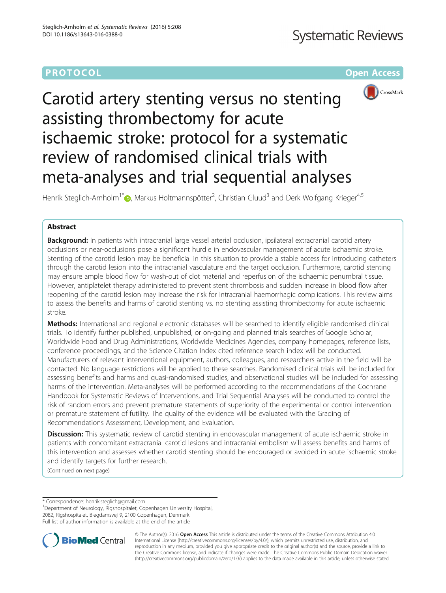## **PROTOCOL CONSUMING THE OPEN ACCESS**



# Carotid artery stenting versus no stenting assisting thrombectomy for acute ischaemic stroke: protocol for a systematic review of randomised clinical trials with meta-analyses and trial sequential analyses

Henrik Steglich-Arnholm<sup>1\*</sup> (**p**[,](http://orcid.org/0000-0002-9621-4251) Markus Holtmannspötter<sup>2</sup>, Christian Gluud<sup>3</sup> and Derk Wolfgang Krieger<sup>4,5</sup>

## Abstract

Background: In patients with intracranial large vessel arterial occlusion, ipsilateral extracranial carotid artery occlusions or near-occlusions pose a significant hurdle in endovascular management of acute ischaemic stroke. Stenting of the carotid lesion may be beneficial in this situation to provide a stable access for introducing catheters through the carotid lesion into the intracranial vasculature and the target occlusion. Furthermore, carotid stenting may ensure ample blood flow for wash-out of clot material and reperfusion of the ischaemic penumbral tissue. However, antiplatelet therapy administered to prevent stent thrombosis and sudden increase in blood flow after reopening of the carotid lesion may increase the risk for intracranial haemorrhagic complications. This review aims to assess the benefits and harms of carotid stenting vs. no stenting assisting thrombectomy for acute ischaemic stroke.

Methods: International and regional electronic databases will be searched to identify eligible randomised clinical trials. To identify further published, unpublished, or on-going and planned trials searches of Google Scholar, Worldwide Food and Drug Administrations, Worldwide Medicines Agencies, company homepages, reference lists, conference proceedings, and the Science Citation Index cited reference search index will be conducted. Manufacturers of relevant interventional equipment, authors, colleagues, and researchers active in the field will be contacted. No language restrictions will be applied to these searches. Randomised clinical trials will be included for assessing benefits and harms and quasi-randomised studies, and observational studies will be included for assessing harms of the intervention. Meta-analyses will be performed according to the recommendations of the Cochrane Handbook for Systematic Reviews of Interventions, and Trial Sequential Analyses will be conducted to control the risk of random errors and prevent premature statements of superiority of the experimental or control intervention or premature statement of futility. The quality of the evidence will be evaluated with the Grading of Recommendations Assessment, Development, and Evaluation.

Discussion: This systematic review of carotid stenting in endovascular management of acute ischaemic stroke in patients with concomitant extracranial carotid lesions and intracranial embolism will assess benefits and harms of this intervention and assesses whether carotid stenting should be encouraged or avoided in acute ischaemic stroke and identify targets for further research.

(Continued on next page)

\* Correspondence: [henrik.steglich@gmail.com](mailto:henrik.steglich@gmail.com) <sup>1</sup>

Department of Neurology, Rigshospitalet, Copenhagen University Hospital, 2082, Rigshospitalet, Blegdamsvej 9, 2100 Copenhagen, Denmark Full list of author information is available at the end of the article



© The Author(s). 2016 Open Access This article is distributed under the terms of the Creative Commons Attribution 4.0 International License [\(http://creativecommons.org/licenses/by/4.0/](http://creativecommons.org/licenses/by/4.0/)), which permits unrestricted use, distribution, and reproduction in any medium, provided you give appropriate credit to the original author(s) and the source, provide a link to the Creative Commons license, and indicate if changes were made. The Creative Commons Public Domain Dedication waiver [\(http://creativecommons.org/publicdomain/zero/1.0/](http://creativecommons.org/publicdomain/zero/1.0/)) applies to the data made available in this article, unless otherwise stated.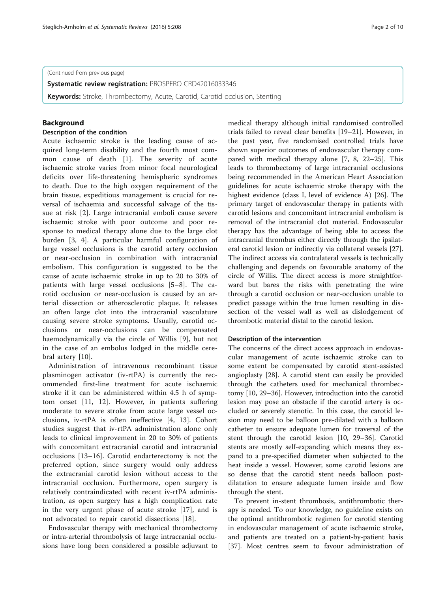(Continued from previous page)

**Systematic review registration: PROSPERO [CRD42016033346](http://www.crd.york.ac.uk/PROSPERO/display_record.asp?ID=CRD42016033346)** 

**Keywords:** Stroke, Thrombectomy, Acute, Carotid, Carotid occlusion, Stenting

## Background

#### Description of the condition

Acute ischaemic stroke is the leading cause of acquired long-term disability and the fourth most common cause of death [\[1](#page-8-0)]. The severity of acute ischaemic stroke varies from minor focal neurological deficits over life-threatening hemispheric syndromes to death. Due to the high oxygen requirement of the brain tissue, expeditious management is crucial for reversal of ischaemia and successful salvage of the tissue at risk [[2\]](#page-8-0). Large intracranial emboli cause severe ischaemic stroke with poor outcome and poor response to medical therapy alone due to the large clot burden [\[3](#page-8-0), [4](#page-8-0)]. A particular harmful configuration of large vessel occlusions is the carotid artery occlusion or near-occlusion in combination with intracranial embolism. This configuration is suggested to be the cause of acute ischaemic stroke in up to 20 to 30% of patients with large vessel occlusions [\[5](#page-8-0)–[8](#page-8-0)]. The carotid occlusion or near-occlusion is caused by an arterial dissection or atherosclerotic plaque. It releases an often large clot into the intracranial vasculature causing severe stroke symptoms. Usually, carotid occlusions or near-occlusions can be compensated haemodynamically via the circle of Willis [[9\]](#page-8-0), but not in the case of an embolus lodged in the middle cerebral artery [\[10](#page-8-0)].

Administration of intravenous recombinant tissue plasminogen activator (iv-rtPA) is currently the recommended first-line treatment for acute ischaemic stroke if it can be administered within 4.5 h of symptom onset [[11, 12\]](#page-8-0). However, in patients suffering moderate to severe stroke from acute large vessel occlusions, iv-rtPA is often ineffective [\[4](#page-8-0), [13\]](#page-8-0). Cohort studies suggest that iv-rtPA administration alone only leads to clinical improvement in 20 to 30% of patients with concomitant extracranial carotid and intracranial occlusions [[13](#page-8-0)–[16\]](#page-8-0). Carotid endarterectomy is not the preferred option, since surgery would only address the extracranial carotid lesion without access to the intracranial occlusion. Furthermore, open surgery is relatively contraindicated with recent iv-rtPA administration, as open surgery has a high complication rate in the very urgent phase of acute stroke [[17\]](#page-8-0), and is not advocated to repair carotid dissections [\[18](#page-8-0)].

Endovascular therapy with mechanical thrombectomy or intra-arterial thrombolysis of large intracranial occlusions have long been considered a possible adjuvant to

medical therapy although initial randomised controlled trials failed to reveal clear benefits [[19](#page-8-0)–[21](#page-8-0)]. However, in the past year, five randomised controlled trials have shown superior outcomes of endovascular therapy compared with medical therapy alone [\[7](#page-8-0), [8, 22](#page-8-0)–[25\]](#page-9-0). This leads to thrombectomy of large intracranial occlusions being recommended in the American Heart Association guidelines for acute ischaemic stroke therapy with the highest evidence (class I, level of evidence A) [\[26](#page-9-0)]. The primary target of endovascular therapy in patients with carotid lesions and concomitant intracranial embolism is removal of the intracranial clot material. Endovascular therapy has the advantage of being able to access the intracranial thrombus either directly through the ipsilateral carotid lesion or indirectly via collateral vessels [\[27](#page-9-0)]. The indirect access via contralateral vessels is technically challenging and depends on favourable anatomy of the circle of Willis. The direct access is more straightforward but bares the risks with penetrating the wire through a carotid occlusion or near-occlusion unable to predict passage within the true lumen resulting in dissection of the vessel wall as well as dislodgement of thrombotic material distal to the carotid lesion.

#### Description of the intervention

The concerns of the direct access approach in endovascular management of acute ischaemic stroke can to some extent be compensated by carotid stent-assisted angioplasty [[28\]](#page-9-0). A carotid stent can easily be provided through the catheters used for mechanical thrombectomy [[10](#page-8-0), [29](#page-9-0)–[36](#page-9-0)]. However, introduction into the carotid lesion may pose an obstacle if the carotid artery is occluded or severely stenotic. In this case, the carotid lesion may need to be balloon pre-dilated with a balloon catheter to ensure adequate lumen for traversal of the stent through the carotid lesion [[10,](#page-8-0) [29](#page-9-0)–[36\]](#page-9-0). Carotid stents are mostly self-expanding which means they expand to a pre-specified diameter when subjected to the heat inside a vessel. However, some carotid lesions are so dense that the carotid stent needs balloon postdilatation to ensure adequate lumen inside and flow through the stent.

To prevent in-stent thrombosis, antithrombotic therapy is needed. To our knowledge, no guideline exists on the optimal antithrombotic regimen for carotid stenting in endovascular management of acute ischaemic stroke, and patients are treated on a patient-by-patient basis [[37\]](#page-9-0). Most centres seem to favour administration of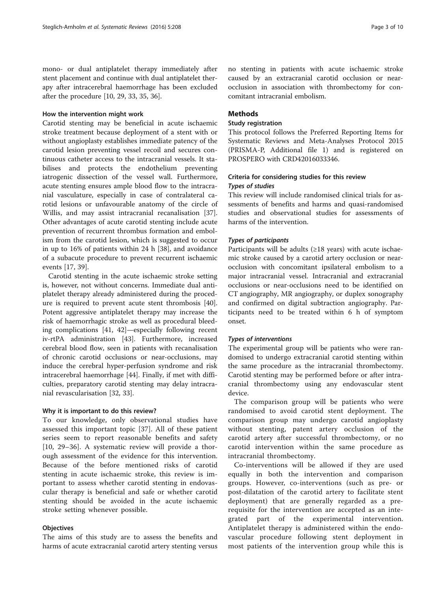mono- or dual antiplatelet therapy immediately after stent placement and continue with dual antiplatelet therapy after intracerebral haemorrhage has been excluded after the procedure [[10](#page-8-0), [29](#page-9-0), [33](#page-9-0), [35](#page-9-0), [36\]](#page-9-0).

#### How the intervention might work

Carotid stenting may be beneficial in acute ischaemic stroke treatment because deployment of a stent with or without angioplasty establishes immediate patency of the carotid lesion preventing vessel recoil and secures continuous catheter access to the intracranial vessels. It stabilises and protects the endothelium preventing iatrogenic dissection of the vessel wall. Furthermore, acute stenting ensures ample blood flow to the intracranial vasculature, especially in case of contralateral carotid lesions or unfavourable anatomy of the circle of Willis, and may assist intracranial recanalisation [\[37](#page-9-0)]. Other advantages of acute carotid stenting include acute prevention of recurrent thrombus formation and embolism from the carotid lesion, which is suggested to occur in up to 16% of patients within 24 h [[38](#page-9-0)], and avoidance of a subacute procedure to prevent recurrent ischaemic events [[17](#page-8-0), [39](#page-9-0)].

Carotid stenting in the acute ischaemic stroke setting is, however, not without concerns. Immediate dual antiplatelet therapy already administered during the procedure is required to prevent acute stent thrombosis [\[40](#page-9-0)]. Potent aggressive antiplatelet therapy may increase the risk of haemorrhagic stroke as well as procedural bleeding complications [\[41](#page-9-0), [42](#page-9-0)]—especially following recent iv-rtPA administration [[43\]](#page-9-0). Furthermore, increased cerebral blood flow, seen in patients with recanalisation of chronic carotid occlusions or near-occlusions, may induce the cerebral hyper-perfusion syndrome and risk intracerebral haemorrhage [[44](#page-9-0)]. Finally, if met with difficulties, preparatory carotid stenting may delay intracranial revascularisation [[32, 33\]](#page-9-0).

#### Why it is important to do this review?

To our knowledge, only observational studies have assessed this important topic [\[37](#page-9-0)]. All of these patient series seem to report reasonable benefits and safety [[10,](#page-8-0) [29](#page-9-0)–[36\]](#page-9-0). A systematic review will provide a thorough assessment of the evidence for this intervention. Because of the before mentioned risks of carotid stenting in acute ischaemic stroke, this review is important to assess whether carotid stenting in endovascular therapy is beneficial and safe or whether carotid stenting should be avoided in the acute ischaemic stroke setting whenever possible.

#### **Objectives**

The aims of this study are to assess the benefits and harms of acute extracranial carotid artery stenting versus no stenting in patients with acute ischaemic stroke caused by an extracranial carotid occlusion or nearocclusion in association with thrombectomy for concomitant intracranial embolism.

## **Methods**

## Study registration

This protocol follows the Preferred Reporting Items for Systematic Reviews and Meta-Analyses Protocol 2015 (PRISMA-P, Additional file [1](#page-7-0)) and is registered on PROSPERO with CRD42016033346.

## Criteria for considering studies for this review Types of studies

This review will include randomised clinical trials for assessments of benefits and harms and quasi-randomised studies and observational studies for assessments of harms of the intervention.

#### Types of participants

Participants will be adults ( $\geq$ 18 years) with acute ischaemic stroke caused by a carotid artery occlusion or nearocclusion with concomitant ipsilateral embolism to a major intracranial vessel. Intracranial and extracranial occlusions or near-occlusions need to be identified on CT angiography, MR angiography, or duplex sonography and confirmed on digital subtraction angiography. Participants need to be treated within 6 h of symptom onset.

#### Types of interventions

The experimental group will be patients who were randomised to undergo extracranial carotid stenting within the same procedure as the intracranial thrombectomy. Carotid stenting may be performed before or after intracranial thrombectomy using any endovascular stent device.

The comparison group will be patients who were randomised to avoid carotid stent deployment. The comparison group may undergo carotid angioplasty without stenting, patent artery occlusion of the carotid artery after successful thrombectomy, or no carotid intervention within the same procedure as intracranial thrombectomy.

Co-interventions will be allowed if they are used equally in both the intervention and comparison groups. However, co-interventions (such as pre- or post-dilatation of the carotid artery to facilitate stent deployment) that are generally regarded as a prerequisite for the intervention are accepted as an integrated part of the experimental intervention. Antiplatelet therapy is administered within the endovascular procedure following stent deployment in most patients of the intervention group while this is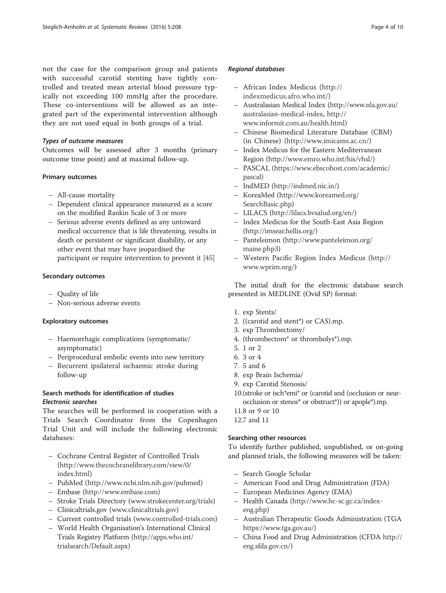not the case for the comparison group and patients with successful carotid stenting have tightly controlled and treated mean arterial blood pressure typically not exceeding 100 mmHg after the procedure. These co-interventions will be allowed as an integrated part of the experimental intervention although they are not used equal in both groups of a trial.

### Types of outcome measures

Outcomes will be assessed after 3 months (primary outcome time point) and at maximal follow-up.

#### Primary outcomes

- All-cause mortality
- Dependent clinical appearance measured as a score on the modified Rankin Scale of 3 or more
- Serious adverse events defined as any untoward medical occurrence that is life threatening, results in death or persistent or significant disability, or any other event that may have jeopardised the participant or require intervention to prevent it [\[45](#page-9-0)]

#### Secondary outcomes

- Quality of life
- Non-serious adverse events

### Exploratory outcomes

- Haemorrhagic complications (symptomatic/ asymptomatic)
- Periprocedural embolic events into new territory
- Recurrent ipsilateral ischaemic stroke during follow-up

## Search methods for identification of studies Electronic searches

The searches will be performed in cooperation with a Trials Search Coordinator from the Copenhagen Trial Unit and will include the following electronic databases:

- Cochrane Central Register of Controlled Trials ([http://www.thecochranelibrary.com/view/0/](http://www.thecochranelibrary.com/view/0/index.html) [index.html\)](http://www.thecochranelibrary.com/view/0/index.html)
- PubMed ([http://www.ncbi.nlm.nih.gov/pubmed\)](http://www.ncbi.nlm.nih.gov/pubmed)
- Embase [\(http://www.embase.com\)](http://www.embase.com/)
- Stroke Trials Directory ([www.strokecenter.org/trials](http://www.strokecenter.org/trials))
- Clinicaltrials.gov [\(www.clinicaltrials.gov\)](http://www.clinicaltrials.gov/)
- Current controlled trials [\(www.controlled-trials.com](http://www.controlled-trials.com/))
- World Health Organisation's International Clinical Trials Registry Platform ([http://apps.who.int/](http://apps.who.int/trialsearch/Default.aspx) [trialsearch/Default.aspx\)](http://apps.who.int/trialsearch/Default.aspx)

## Regional databases

- African Index Medicus ([http://](http://indexmedicus.afro.who.int/) [indexmedicus.afro.who.int/\)](http://indexmedicus.afro.who.int/)
- Australasian Medical Index ([http://www.nla.gov.au/](http://www.nla.gov.au/australasian-medical-index) [australasian-medical-index,](http://www.nla.gov.au/australasian-medical-index) [http://](http://www.informit.com.au/health.html) [www.informit.com.au/health.html\)](http://www.informit.com.au/health.html)
- Chinese Biomedical Literature Database (CBM) (in Chinese) ([http://www.imicams.ac.cn/\)](http://www.imicams.ac.cn/)
- Index Medicus for the Eastern Mediterranean Region [\(http://www.emro.who.int/his/vhsl/\)](http://www.emro.who.int/his/vhsl/)
- PASCAL [\(https://www.ebscohost.com/academic/](https://www.ebscohost.com/academic/pascal) [pascal\)](https://www.ebscohost.com/academic/pascal)
- IndMED ([http://indmed.nic.in/\)](http://indmed.nic.in/)
- KoreaMed ([http://www.koreamed.org/](http://www.koreamed.org/SearchBasic.php) [SearchBasic.php\)](http://www.koreamed.org/SearchBasic.php)
- LILACS [\(http://lilacs.bvsalud.org/en/](http://lilacs.bvsalud.org/en/))
- Index Medicus for the South-East Asia Region (<http://imsear.hellis.org/>)
- Panteleimon ([http://www.panteleimon.org/](http://www.panteleimon.org/maine.php3) [maine.php3\)](http://www.panteleimon.org/maine.php3)
- Western Pacific Region Index Medicus [\(http://](http://www.wprim.org/) [www.wprim.org/](http://www.wprim.org/))

The initial draft for the electronic database search presented in MEDLINE (Ovid SP) format:

- 1. exp Stents/
- 2. ((carotid and stent\*) or CAS).mp.
- 3. exp Thrombectomy/
- 4. (thrombectom\* or thrombolys\*).mp.
- 5. 1 or 2
- 6. 3 or 4
- 7. 5 and 6
- 8. exp Brain Ischemia/
- 9. exp Carotid Stenosis/
- 10.(stroke or isch\*emi\* or (carotid and (occlusion or nearocclusion or stenos\* or obstruct\*)) or apople\*).mp.
- 11.8 or 9 or 10
- 12.7 and 11

## Searching other resources

To identify further published, unpublished, or on-going and planned trials, the following measures will be taken:

- Search Google Scholar
- American Food and Drug Administration (FDA)
- European Medicines Agency (EMA)
- Health Canada ([http://www.hc-sc.gc.ca/index](http://www.hc-sc.gc.ca/index-eng.php)[eng.php\)](http://www.hc-sc.gc.ca/index-eng.php)
- Australian Therapeutic Goods Administration (TGA <https://www.tga.gov.au/>)
- China Food and Drug Administration (CFDA [http://](http://eng.sfda.gov.cn/) [eng.sfda.gov.cn/\)](http://eng.sfda.gov.cn/)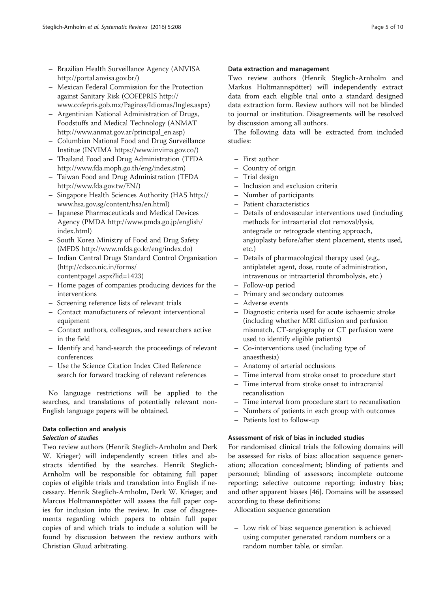- Brazilian Health Surveillance Agency (ANVISA [http://portal.anvisa.gov.br/\)](http://portal.anvisa.gov.br/)
- Mexican Federal Commission for the Protection against Sanitary Risk (COFEPRIS [http://](http://www.cofepris.gob.mx/Paginas/Idiomas/Ingles.aspx) [www.cofepris.gob.mx/Paginas/Idiomas/Ingles.aspx\)](http://www.cofepris.gob.mx/Paginas/Idiomas/Ingles.aspx)
- Argentinian National Administration of Drugs, Foodstuffs and Medical Technology (ANMAT [http://www.anmat.gov.ar/principal\\_en.asp](http://www.anmat.gov.ar/principal_en.asp))
- Columbian National Food and Drug Surveillance Institue (INVIMA <https://www.invima.gov.co/>)
- Thailand Food and Drug Administration (TFDA <http://www.fda.moph.go.th/eng/index.stm>)
- Taiwan Food and Drug Administration (TFDA [http://www.fda.gov.tw/EN/\)](http://www.fda.gov.tw/EN/)
- Singapore Health Sciences Authority (HAS [http://](http://www.hsa.gov.sg/content/hsa/en.html) [www.hsa.gov.sg/content/hsa/en.html](http://www.hsa.gov.sg/content/hsa/en.html))
- Japanese Pharmaceuticals and Medical Devices Agency (PMDA [http://www.pmda.go.jp/english/](http://www.pmda.go.jp/english/index.html) [index.html\)](http://www.pmda.go.jp/english/index.html)
- South Korea Ministry of Food and Drug Safety (MFDS <http://www.mfds.go.kr/eng/index.do>)
- Indian Central Drugs Standard Control Organisation ([http://cdsco.nic.in/forms/](http://cdsco.nic.in/forms/contentpage1.aspx?lid=1423) [contentpage1.aspx?lid=1423\)](http://cdsco.nic.in/forms/contentpage1.aspx?lid=1423)
- Home pages of companies producing devices for the interventions
- Screening reference lists of relevant trials
- Contact manufacturers of relevant interventional equipment
- Contact authors, colleagues, and researchers active in the field
- Identify and hand-search the proceedings of relevant conferences
- Use the Science Citation Index Cited Reference search for forward tracking of relevant references

No language restrictions will be applied to the searches, and translations of potentially relevant non-English language papers will be obtained.

## Data collection and analysis

## Selection of studies

Two review authors (Henrik Steglich-Arnholm and Derk W. Krieger) will independently screen titles and abstracts identified by the searches. Henrik Steglich-Arnholm will be responsible for obtaining full paper copies of eligible trials and translation into English if necessary. Henrik Steglich-Arnholm, Derk W. Krieger, and Marcus Holtmannspötter will assess the full paper copies for inclusion into the review. In case of disagreements regarding which papers to obtain full paper copies of and which trials to include a solution will be found by discussion between the review authors with Christian Gluud arbitrating.

## Data extraction and management

Two review authors (Henrik Steglich-Arnholm and Markus Holtmannspötter) will independently extract data from each eligible trial onto a standard designed data extraction form. Review authors will not be blinded to journal or institution. Disagreements will be resolved by discussion among all authors.

The following data will be extracted from included studies:

- First author
- Country of origin
- Trial design
- Inclusion and exclusion criteria
- Number of participants
- Patient characteristics
- Details of endovascular interventions used (including methods for intraarterial clot removal/lysis, antegrade or retrograde stenting approach, angioplasty before/after stent placement, stents used, etc.)
- Details of pharmacological therapy used (e.g., antiplatelet agent, dose, route of administration, intravenous or intraarterial thrombolysis, etc.)
- Follow-up period
- Primary and secondary outcomes
- Adverse events
- Diagnostic criteria used for acute ischaemic stroke (including whether MRI diffusion and perfusion mismatch, CT-angiography or CT perfusion were used to identify eligible patients)
- Co-interventions used (including type of anaesthesia)
- Anatomy of arterial occlusions
- Time interval from stroke onset to procedure start
- Time interval from stroke onset to intracranial recanalisation
- Time interval from procedure start to recanalisation
- Numbers of patients in each group with outcomes
- Patients lost to follow-up

## Assessment of risk of bias in included studies

For randomised clinical trials the following domains will be assessed for risks of bias: allocation sequence generation; allocation concealment; blinding of patients and personnel; blinding of assessors; incomplete outcome reporting; selective outcome reporting; industry bias; and other apparent biases [[46\]](#page-9-0). Domains will be assessed according to these definitions:

Allocation sequence generation

– Low risk of bias: sequence generation is achieved using computer generated random numbers or a random number table, or similar.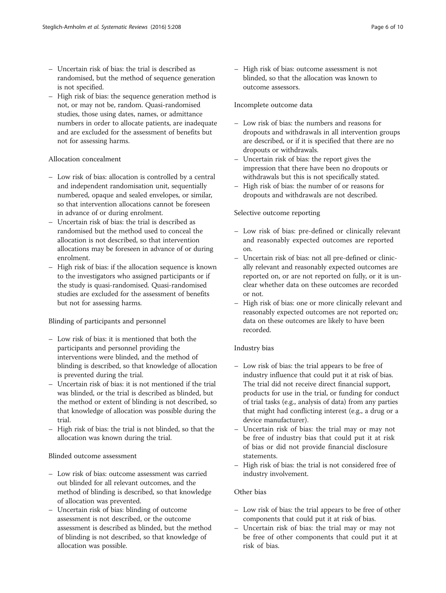- Uncertain risk of bias: the trial is described as randomised, but the method of sequence generation is not specified.
- High risk of bias: the sequence generation method is not, or may not be, random. Quasi-randomised studies, those using dates, names, or admittance numbers in order to allocate patients, are inadequate and are excluded for the assessment of benefits but not for assessing harms.

## Allocation concealment

- Low risk of bias: allocation is controlled by a central and independent randomisation unit, sequentially numbered, opaque and sealed envelopes, or similar, so that intervention allocations cannot be foreseen in advance of or during enrolment.
- Uncertain risk of bias: the trial is described as randomised but the method used to conceal the allocation is not described, so that intervention allocations may be foreseen in advance of or during enrolment.
- High risk of bias: if the allocation sequence is known to the investigators who assigned participants or if the study is quasi-randomised. Quasi-randomised studies are excluded for the assessment of benefits but not for assessing harms.

## Blinding of participants and personnel

- Low risk of bias: it is mentioned that both the participants and personnel providing the interventions were blinded, and the method of blinding is described, so that knowledge of allocation is prevented during the trial.
- Uncertain risk of bias: it is not mentioned if the trial was blinded, or the trial is described as blinded, but the method or extent of blinding is not described, so that knowledge of allocation was possible during the trial.
- High risk of bias: the trial is not blinded, so that the allocation was known during the trial.

## Blinded outcome assessment

- Low risk of bias: outcome assessment was carried out blinded for all relevant outcomes, and the method of blinding is described, so that knowledge of allocation was prevented.
- Uncertain risk of bias: blinding of outcome assessment is not described, or the outcome assessment is described as blinded, but the method of blinding is not described, so that knowledge of allocation was possible.

– High risk of bias: outcome assessment is not blinded, so that the allocation was known to outcome assessors.

## Incomplete outcome data

- Low risk of bias: the numbers and reasons for dropouts and withdrawals in all intervention groups are described, or if it is specified that there are no dropouts or withdrawals.
- Uncertain risk of bias: the report gives the impression that there have been no dropouts or withdrawals but this is not specifically stated.
- High risk of bias: the number of or reasons for dropouts and withdrawals are not described.

## Selective outcome reporting

- Low risk of bias: pre-defined or clinically relevant and reasonably expected outcomes are reported on.
- Uncertain risk of bias: not all pre-defined or clinically relevant and reasonably expected outcomes are reported on, or are not reported on fully, or it is unclear whether data on these outcomes are recorded or not.
- High risk of bias: one or more clinically relevant and reasonably expected outcomes are not reported on; data on these outcomes are likely to have been recorded.

## Industry bias

- Low risk of bias: the trial appears to be free of industry influence that could put it at risk of bias. The trial did not receive direct financial support, products for use in the trial, or funding for conduct of trial tasks (e.g., analysis of data) from any parties that might had conflicting interest (e.g., a drug or a device manufacturer).
- Uncertain risk of bias: the trial may or may not be free of industry bias that could put it at risk of bias or did not provide financial disclosure statements.
- High risk of bias: the trial is not considered free of industry involvement.

## Other bias

- Low risk of bias: the trial appears to be free of other components that could put it at risk of bias.
- Uncertain risk of bias: the trial may or may not be free of other components that could put it at risk of bias.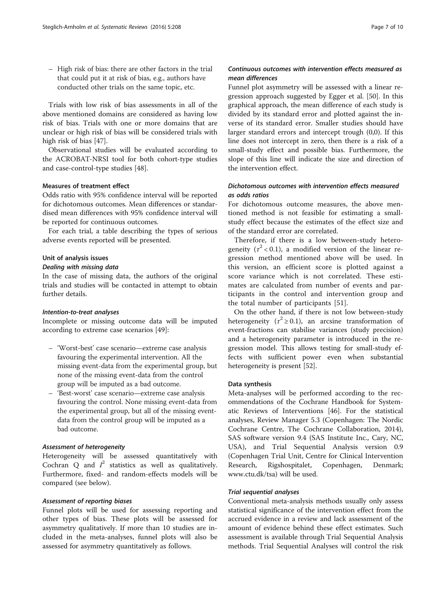– High risk of bias: there are other factors in the trial that could put it at risk of bias, e.g., authors have conducted other trials on the same topic, etc.

Trials with low risk of bias assessments in all of the above mentioned domains are considered as having low risk of bias. Trials with one or more domains that are unclear or high risk of bias will be considered trials with high risk of bias [[47\]](#page-9-0).

Observational studies will be evaluated according to the ACROBAT-NRSI tool for both cohort-type studies and case-control-type studies [[48\]](#page-9-0).

## Measures of treatment effect

Odds ratio with 95% confidence interval will be reported for dichotomous outcomes. Mean differences or standardised mean differences with 95% confidence interval will be reported for continuous outcomes.

For each trial, a table describing the types of serious adverse events reported will be presented.

#### Unit of analysis issues

#### Dealing with missing data

In the case of missing data, the authors of the original trials and studies will be contacted in attempt to obtain further details.

#### Intention-to-treat analyses

Incomplete or missing outcome data will be imputed according to extreme case scenarios [\[49](#page-9-0)]:

- 'Worst-best' case scenario—extreme case analysis favouring the experimental intervention. All the missing event-data from the experimental group, but none of the missing event-data from the control group will be imputed as a bad outcome.
- 'Best-worst' case scenario—extreme case analysis favouring the control. None missing event-data from the experimental group, but all of the missing eventdata from the control group will be imputed as a bad outcome.

## Assessment of heterogeneity

Heterogeneity will be assessed quantitatively with Cochran Q and  $I^2$  statistics as well as qualitatively. Furthermore, fixed- and random-effects models will be compared (see below).

### Assessment of reporting biases

Funnel plots will be used for assessing reporting and other types of bias. These plots will be assessed for asymmetry qualitatively. If more than 10 studies are included in the meta-analyses, funnel plots will also be assessed for asymmetry quantitatively as follows.

## Continuous outcomes with intervention effects measured as mean differences

Funnel plot asymmetry will be assessed with a linear regression approach suggested by Egger et al. [[50\]](#page-9-0). In this graphical approach, the mean difference of each study is divided by its standard error and plotted against the inverse of its standard error. Smaller studies should have larger standard errors and intercept trough (0,0). If this line does not intercept in zero, then there is a risk of a small-study effect and possible bias. Furthermore, the slope of this line will indicate the size and direction of the intervention effect.

## Dichotomous outcomes with intervention effects measured as odds ratios

For dichotomous outcome measures, the above mentioned method is not feasible for estimating a smallstudy effect because the estimates of the effect size and of the standard error are correlated.

Therefore, if there is a low between-study heterogeneity  $(\tau^2 < 0.1)$ , a modified version of the linear regression method mentioned above will be used. In this version, an efficient score is plotted against a score variance which is not correlated. These estimates are calculated from number of events and participants in the control and intervention group and the total number of participants [[51\]](#page-9-0).

On the other hand, if there is not low between-study heterogeneity ( $\tau^2 \ge 0.1$ ), an arcsine transformation of event-fractions can stabilise variances (study precision) and a heterogeneity parameter is introduced in the regression model. This allows testing for small-study effects with sufficient power even when substantial heterogeneity is present [\[52](#page-9-0)].

## Data synthesis

Meta-analyses will be performed according to the recommendations of the Cochrane Handbook for Systematic Reviews of Interventions [\[46\]](#page-9-0). For the statistical analyses, Review Manager 5.3 (Copenhagen: The Nordic Cochrane Centre, The Cochrane Collaboration, 2014), SAS software version 9.4 (SAS Institute Inc., Cary, NC, USA), and Trial Sequential Analysis version 0.9 (Copenhagen Trial Unit, Centre for Clinical Intervention Research, Rigshospitalet, Copenhagen, Denmark; [www.ctu.dk/tsa\)](http://www.ctu.dk/tsa) will be used.

#### Trial sequential analyses

Conventional meta-analysis methods usually only assess statistical significance of the intervention effect from the accrued evidence in a review and lack assessment of the amount of evidence behind these effect estimates. Such assessment is available through Trial Sequential Analysis methods. Trial Sequential Analyses will control the risk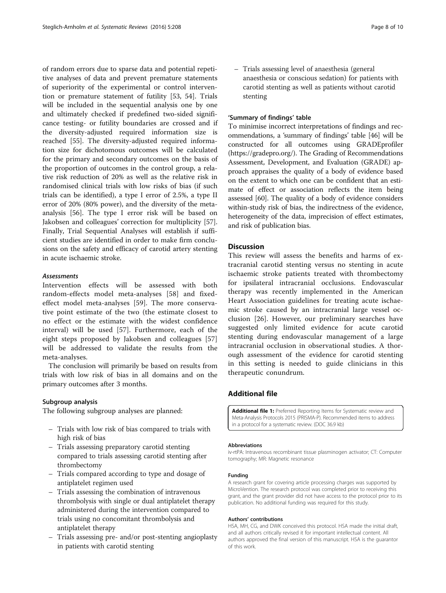<span id="page-7-0"></span>of random errors due to sparse data and potential repetitive analyses of data and prevent premature statements of superiority of the experimental or control intervention or premature statement of futility [\[53](#page-9-0), [54\]](#page-9-0). Trials will be included in the sequential analysis one by one and ultimately checked if predefined two-sided significance testing- or futility boundaries are crossed and if the diversity-adjusted required information size is reached [[55\]](#page-9-0). The diversity-adjusted required information size for dichotomous outcomes will be calculated for the primary and secondary outcomes on the basis of the proportion of outcomes in the control group, a relative risk reduction of 20% as well as the relative risk in randomised clinical trials with low risks of bias (if such trials can be identified), a type I error of 2.5%, a type II error of 20% (80% power), and the diversity of the metaanalysis [[56](#page-9-0)]. The type I error risk will be based on Jakobsen and colleagues' correction for multiplicity [\[57](#page-9-0)]. Finally, Trial Sequential Analyses will establish if sufficient studies are identified in order to make firm conclusions on the safety and efficacy of carotid artery stenting in acute ischaemic stroke.

### **Assessments**

Intervention effects will be assessed with both random-effects model meta-analyses [[58\]](#page-9-0) and fixedeffect model meta-analyses [[59\]](#page-9-0). The more conservative point estimate of the two (the estimate closest to no effect or the estimate with the widest confidence interval) will be used [\[57](#page-9-0)]. Furthermore, each of the eight steps proposed by Jakobsen and colleagues [\[57](#page-9-0)] will be addressed to validate the results from the meta-analyses.

The conclusion will primarily be based on results from trials with low risk of bias in all domains and on the primary outcomes after 3 months.

### Subgroup analysis

The following subgroup analyses are planned:

- Trials with low risk of bias compared to trials with high risk of bias
- Trials assessing preparatory carotid stenting compared to trials assessing carotid stenting after thrombectomy
- Trials compared according to type and dosage of antiplatelet regimen used
- Trials assessing the combination of intravenous thrombolysis with single or dual antiplatelet therapy administered during the intervention compared to trials using no concomitant thrombolysis and antiplatelet therapy
- Trials assessing pre- and/or post-stenting angioplasty in patients with carotid stenting

– Trials assessing level of anaesthesia (general anaesthesia or conscious sedation) for patients with carotid stenting as well as patients without carotid stenting

## 'Summary of findings' table

To minimise incorrect interpretations of findings and recommendations, a 'summary of findings' table [\[46\]](#page-9-0) will be constructed for all outcomes using GRADEprofiler ([https://gradepro.org/\)](https://gradepro.org/). The Grading of Recommendations Assessment, Development, and Evaluation (GRADE) approach appraises the quality of a body of evidence based on the extent to which one can be confident that an estimate of effect or association reflects the item being assessed [[60\]](#page-9-0). The quality of a body of evidence considers within-study risk of bias, the indirectness of the evidence, heterogeneity of the data, imprecision of effect estimates, and risk of publication bias.

## **Discussion**

This review will assess the benefits and harms of extracranial carotid stenting versus no stenting in acute ischaemic stroke patients treated with thrombectomy for ipsilateral intracranial occlusions. Endovascular therapy was recently implemented in the American Heart Association guidelines for treating acute ischaemic stroke caused by an intracranial large vessel occlusion [[26\]](#page-9-0). However, our preliminary searches have suggested only limited evidence for acute carotid stenting during endovascular management of a large intracranial occlusion in observational studies. A thorough assessment of the evidence for carotid stenting in this setting is needed to guide clinicians in this therapeutic conundrum.

## Additional file

[Additional file 1:](dx.doi.org/10.1186/s13643-016-0388-0) Preferred Reporting Items for Systematic review and Meta-Analysis Protocols 2015 (PRISMA-P). Recommended items to address in a protocol for a systematic review. (DOC 36.9 kb)

#### Abbreviations

iv-rtPA: Intravenous recombinant tissue plasminogen activator; CT: Computer tomography; MR: Magnetic resonance

#### Funding

A research grant for covering article processing charges was supported by MicroVention. The research protocol was completed prior to receiving this grant, and the grant provider did not have access to the protocol prior to its publication. No additional funding was required for this study.

#### Authors' contributions

HSA, MH, CG, and DWK conceived this protocol. HSA made the initial draft, and all authors critically revised it for important intellectual content. All authors approved the final version of this manuscript. HSA is the guarantor of this work.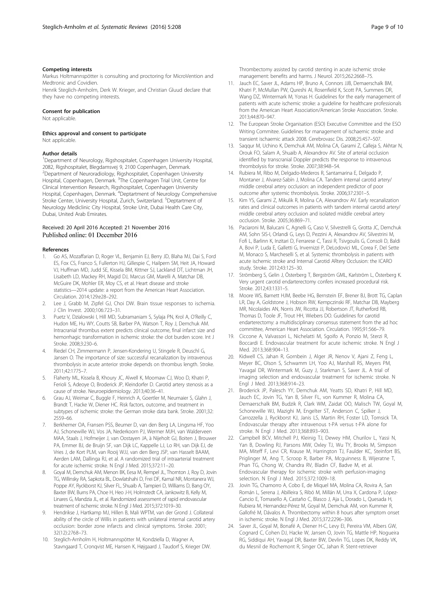#### <span id="page-8-0"></span>Competing interests

Markus Holtmannspötter is consulting and proctoring for MicroVention and Medtronic and Covidien.

Henrik Steglich-Arnholm, Derk W. Krieger, and Christian Gluud declare that they have no competing interests.

#### Consent for publication

Not applicable.

Ethics approval and consent to participate

Not applicable.

#### Author details

<sup>1</sup>Department of Neurology, Rigshospitalet, Copenhagen University Hospital, 2082, Rigshospitalet, Blegdamsvej 9, 2100 Copenhagen, Denmark. 2 Department of Neuroradiology, Rigshospitalet, Copenhagen University Hospital, Copenhagen, Denmark. <sup>3</sup>The Copenhagen Trial Unit, Centre for Clinical Intervention Research, Rigshospitalet, Copenhagen University Hospital, Copenhagen, Denmark. <sup>4</sup>Deptartment of Neurology Comprehensive Stroke Center, University Hospital, Zurich, Switzerland. <sup>5</sup>Deptartment of Neurology Mediclinic City Hospital, Stroke Unit, Dubai Health Care City, Dubai, United Arab Emirates.

#### Received: 20 April 2016 Accepted: 21 November 2016 Published online: 01 December 2016

#### References

- 1. Go AS, Mozaffarian D, Roger VL, Benjamin EJ, Berry JD, Blaha MJ, Dai S, Ford ES, Fox CS, Franco S, Fullerton HJ, Gillespie C, Hailpern SM, Heit JA, Howard VJ, Huffman MD, Judd SE, Kissela BM, Kittner SJ, Lackland DT, Lichtman JH, Lisabeth LD, Mackey RH, Magid DJ, Marcus GM, Marelli A, Matchar DB, McGuire DK, Mohler ER, Moy CS, et al. Heart disease and stroke statistics—2014 update: a report from the American Heart Association. Circulation. 2014;129:e28–292.
- 2. Lee J, Grabb M, Zipfel GJ, Choi DW. Brain tissue responses to ischemia. J Clin Invest. 2000;106:723–31.
- 3. Puetz V, Dzialowski I, Hill MD, Subramaniam S, Sylaja PN, Krol A, O'Reilly C, Hudon ME, Hu WY, Coutts SB, Barber PA, Watson T, Roy J, Demchuk AM. Intracranial thrombus extent predicts clinical outcome, final infarct size and hemorrhagic transformation in ischemic stroke: the clot burden score. Int J Stroke. 2008;3:230–6.
- 4. Riedel CH, Zimmermann P, Jensen-Kondering U, Stingele R, Deuschl G, Jansen O. The importance of size: successful recanalization by intravenous thrombolysis in acute anterior stroke depends on thrombus length. Stroke. 2011;42:1775–7.
- 5. Flaherty ML, Kissela B, Khoury JC, Alwell K, Moomaw CJ, Woo D, Khatri P, Ferioli S, Adeoye O, Broderick JP, Kleindorfer D. Carotid artery stenosis as a cause of stroke. Neuroepidemiology. 2013;40:36–41.
- 6. Grau AJ, Weimar C, Buggle F, Heinrich A, Goertler M, Neumaier S, Glahn J, Brandt T, Hacke W, Diener HC. Risk factors, outcome, and treatment in subtypes of ischemic stroke: the German stroke data bank. Stroke. 2001;32: 2559–66.
- 7. Berkhemer OA, Fransen PSS, Beumer D, van den Berg LA, Lingsma HF, Yoo AJ, Schonewille WJ, Vos JA, Nederkoorn PJ, Wermer MJH, van Walderveen MAA, Staals J, Hofmeijer J, van Oostayen JA, à Nijeholt GJ, Boiten J, Brouwer PA, Emmer BJ, de Bruijn SF, van Dijk LC, Kappelle LJ, Lo RH, van Dijk EJ, de Vries J, de Kort PLM, van Rooij WJJ, van den Berg JSP, van Hasselt BAAM, Aerden LAM, Dallinga RJ, et al. A randomized trial of intraarterial treatment for acute ischemic stroke. N Engl J Med. 2015;372:11–20.
- Goyal M, Demchuk AM, Menon BK, Eesa M, Rempel JL, Thornton J, Roy D, Jovin TG, Willinsky RA, Sapkota BL, Dowlatshahi D, Frei DF, Kamal NR, Montanera WJ, Poppe AY, Ryckborst KJ, Silver FL, Shuaib A, Tampieri D, Williams D, Bang OY, Baxter BW, Burns PA, Choe H, Heo J-H, Holmstedt CA, Jankowitz B, Kelly M, Linares G, Mandzia JL, et al. Randomized assessment of rapid endovascular treatment of ischemic stroke. N Engl J Med. 2015;372:1019–30.
- 9. Hendrikse J, Hartkamp MJ, Hillen B, Mali WPTM, van der Grond J. Collateral ability of the circle of Willis in patients with unilateral internal carotid artery occlusion: border zone infarcts and clinical symptoms. Stroke. 2001; 32(12):2768–73.
- 10. Steglich-Arnholm H, Holtmannspötter M, Kondziella D, Wagner A, Stavngaard T, Cronqvist ME, Hansen K, Højgaard J, Taudorf S, Krieger DW.

Thrombectomy assisted by carotid stenting in acute ischemic stroke management: benefits and harms. J Neurol. 2015;262:2668–75.

- 11. Jauch EC, Saver JL, Adams HP, Bruno A, Connors JJB, Demaerschalk BM, Khatri P, McMullan PW, Qureshi AI, Rosenfield K, Scott PA, Summers DR, Wang DZ, Wintermark M, Yonas H. Guidelines for the early management of patients with acute ischemic stroke: a guideline for healthcare professionals from the American Heart Association/American Stroke Association. Stroke. 2013;44:870–947.
- 12. The European Stroke Organisation (ESO) Executive Committee and the ESO Writing Commitee. Guidelines for management of ischaemic stroke and transient ischaemic attack 2008. Cerebrovasc Dis. 2008;25:457–507.
- 13. Saqqur M, Uchino K, Demchuk AM, Molina CA, Garami Z, Calleja S, Akhtar N, Orouk FO, Salam A, Shuaib A, Alexandrov AV. Site of arterial occlusion identified by transcranial Doppler predicts the response to intravenous thrombolysis for stroke. Stroke. 2007;38:948–54.
- 14. Rubiera M, Ribo M, Delgado-Mederos R, Santamarina E, Delgado P, Montaner J, Alvarez-Sabín J, Molina CA. Tandem internal carotid artery/ middle cerebral artery occlusion: an independent predictor of poor outcome after systemic thrombolysis. Stroke. 2006;37:2301–5.
- 15. Kim YS, Garami Z, Mikulik R, Molina CA, Alexandrov AV. Early recanalization rates and clinical outcomes in patients with tandem internal carotid artery/ middle cerebral artery occlusion and isolated middle cerebral artery occlusion. Stroke. 2005;36:869–71.
- 16. Paciaroni M, Balucani C, Agnelli G, Caso V, Silvestrelli G, Grotta JC, Demchuk AM, Sohn SIS-I, Orlandi G, Leys D, Pezzini A, Alexandrov AV, Silvestrini M, Fofi L, Barlinn K, Inzitari D, Ferrarese C, Tassi R, Tsivgoulis G, Consoli D, Baldi A, Bovi P, Luda E, Galletti G, Invernizzi P, DeLodovici ML, Corea F, Del Sette M, Monaco S, Marcheselli S, et al. Systemic thrombolysis in patients with acute ischemic stroke and Internal Carotid ARtery Occlusion: the ICARO study. Stroke. 2012;43:125–30.
- 17. Strömberg S, Gelin J, Österberg T, Bergström GML, Karlström L, Österberg K. Very urgent carotid endarterectomy confers increased procedural risk. Stroke. 2012;43:1331–5.
- 18. Moore WS, Barnett HJM, Beebe HG, Bernstein EF, Brener BJ, Brott TG, Caplan LR, Day A, Goldstone J, Hobson RW, Kempczinski RF, Matchar DB, Mayberg MR, Nicolaides AN, Norris JW, Ricotta JJ, Robertson JT, Rutherford RB, Thomas D, Toole JF, Trout HH, Wiebers DO. Guidelines for carotid endarterectomy: a multidisciplinary consensus statement from the ad hoc committee, American Heart Association. Circulation. 1995;91:566–79.
- 19. Ciccone A, Valvassori L, Nichelatti M, Sgoifo A, Ponzio M, Sterzi R, Boccardi E. Endovascular treatment for acute ischemic stroke. N Engl J Med. 2013;368:904–13.
- 20. Kidwell CS, Jahan R, Gornbein J, Alger JR, Nenov V, Ajani Z, Feng L, Meyer BC, Olson S, Schwamm LH, Yoo AJ, Marshall RS, Meyers PM, Yavagal DR, Wintermark M, Guzy J, Starkman S, Saver JL. A trial of imaging selection and endovascular treatment for ischemic stroke. N Engl J Med. 2013;368:914–23.
- 21. Broderick JP, Palesch YY, Demchuk AM, Yeatts SD, Khatri P, Hill MD, Jauch EC, Jovin TG, Yan B, Silver FL, von Kummer R, Molina CA, Demaerschalk BM, Budzik R, Clark WM, Zaidat OO, Malisch TW, Goyal M, Schonewille WJ, Mazighi M, Engelter ST, Anderson C, Spilker J, Carrozzella J, Ryckborst KJ, Janis LS, Martin RH, Foster LD, Tomsick TA. Endovascular therapy after intravenous t-PA versus t-PA alone for stroke. N Engl J Med. 2013;368:893–903.
- 22. Campbell BCV, Mitchell PJ, Kleinig TJ, Dewey HM, Churilov L, Yassi N, Yan B, Dowling RJ, Parsons MW, Oxley TJ, Wu TY, Brooks M, Simpson MA, Miteff F, Levi CR, Krause M, Harrington TJ, Faulder KC, Steinfort BS, Priglinger M, Ang T, Scroop R, Barber PA, Mcguinness B, Wijeratne T, Phan TG, Chong W, Chandra RV, Bladin CF, Badve M, et al. Endovascular therapy for ischemic stroke with perfusion-imaging selection. N Engl J Med. 2015;372:1009–18.
- 23. Jovin TG, Chamorro A, Cobo E, de Miquel MA, Molina CA, Rovira A, San Román L, Serena J, Abilleira S, Ribó M, Millán M, Urra X, Cardona P, López-Cancio E, Tomasello A, Castaño C, Blasco J, Aja L, Dorado L, Quesada H, Rubiera M, Hernandez-Pérez M, Goyal M, Demchuk AM, von Kummer R, Gallofré M, Dávalos A. Thrombectomy within 8 hours after symptom onset in ischemic stroke. N Engl J Med. 2015;372:2296–306.
- 24. Saver JL, Goyal M, Bonafé A, Diener H-C, Levy EI, Pereira VM, Albers GW, Cognard C, Cohen DJ, Hacke W, Jansen O, Jovin TG, Mattle HP, Nogueira RG, Siddiqui AH, Yavagal DR, Baxter BW, Devlin TG, Lopes DK, Reddy VK, du Mesnil de Rochemont R, Singer OC, Jahan R. Stent-retriever